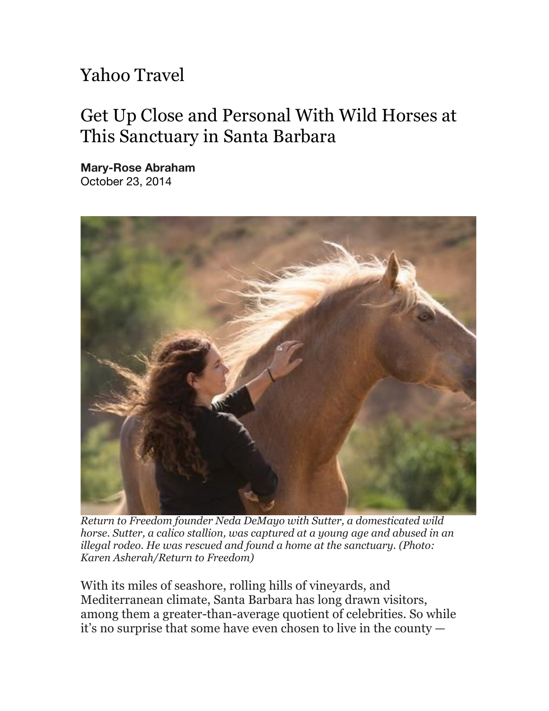## Yahoo Travel

## Get Up Close and Personal With Wild Horses at This Sanctuary in Santa Barbara

**Mary-Rose Abraham** October 23, 2014



*Return to Freedom founder Neda DeMayo with Sutter, a domesticated wild horse. Sutter, a calico stallion, was captured at a young age and abused in an illegal rodeo. He was rescued and found a home at the sanctuary. (Photo: Karen Asherah/Return to Freedom)*

With its miles of seashore, rolling hills of vineyards, and Mediterranean climate, Santa Barbara has long drawn visitors, among them a greater-than-average quotient of celebrities. So while it's no surprise that some have even chosen to live in the county —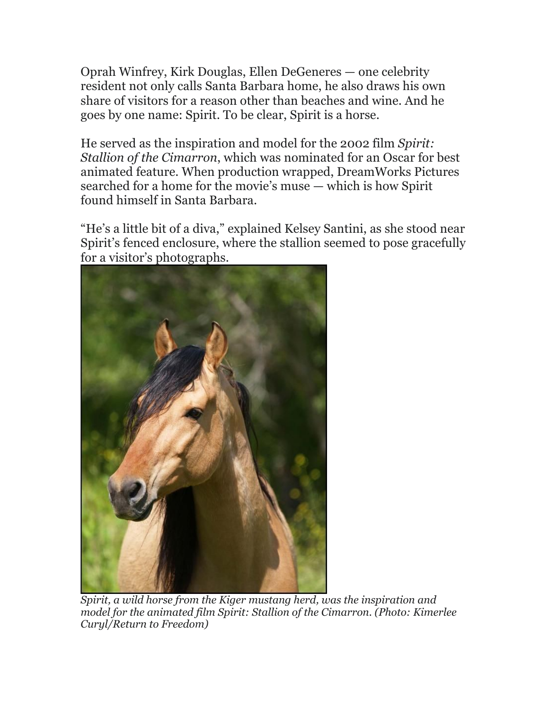Oprah Winfrey, Kirk Douglas, Ellen DeGeneres — one celebrity resident not only calls Santa Barbara home, he also draws his own share of visitors for a reason other than beaches and wine. And he goes by one name: Spirit. To be clear, Spirit is a horse.

He served as the inspiration and model for the 2002 film *Spirit: Stallion of the Cimarron*, which was nominated for an Oscar for best animated feature. When production wrapped, DreamWorks Pictures searched for a home for the movie's muse — which is how Spirit found himself in Santa Barbara.

"He's a little bit of a diva," explained Kelsey Santini, as she stood near Spirit's fenced enclosure, where the stallion seemed to pose gracefully for a visitor's photographs.



*Spirit, a wild horse from the Kiger mustang herd, was the inspiration and model for the animated film Spirit: Stallion of the Cimarron. (Photo: Kimerlee Curyl/Return to Freedom)*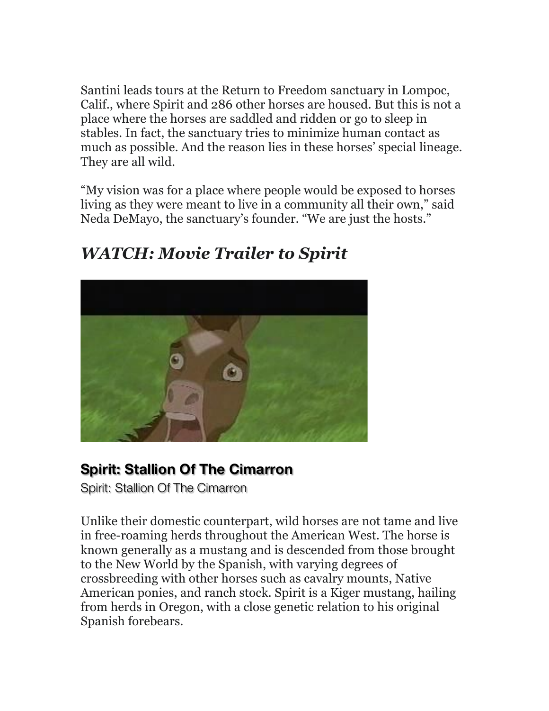Santini leads tours at the Return to Freedom sanctuary in Lompoc, Calif., where Spirit and 286 other horses are housed. But this is not a place where the horses are saddled and ridden or go to sleep in stables. In fact, the sanctuary tries to minimize human contact as much as possible. And the reason lies in these horses' special lineage. They are all wild.

"My vision was for a place where people would be exposed to horses living as they were meant to live in a community all their own," said Neda DeMayo, the sanctuary's founder. "We are just the hosts."



## *WATCH: Movie Trailer to Spirit*

## **Spirit: Stallion Of The Cimarron**

Spirit: Stallion Of The Cimarron

Unlike their domestic counterpart, wild horses are not tame and live in free-roaming herds throughout the American West. The horse is known generally as a mustang and is descended from those brought to the New World by the Spanish, with varying degrees of crossbreeding with other horses such as cavalry mounts, Native American ponies, and ranch stock. Spirit is a Kiger mustang, hailing from herds in Oregon, with a close genetic relation to his original Spanish forebears.